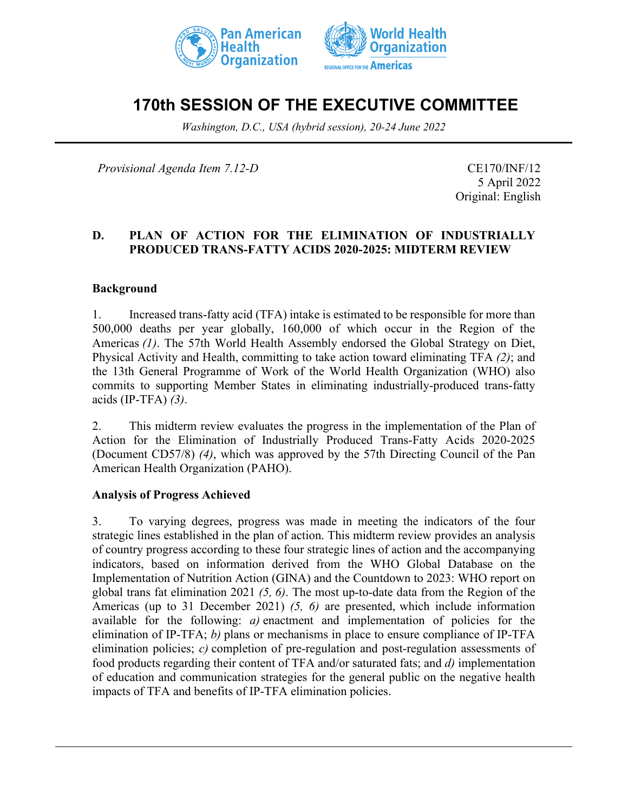



# **170th SESSION OF THE EXECUTIVE COMMITTEE**

*Washington, D.C., USA (hybrid session), 20-24 June 2022*

*Provisional Agenda Item 7.12-D* CE170/INF/12

5 April 2022 Original: English

## **D. PLAN OF ACTION FOR THE ELIMINATION OF INDUSTRIALLY PRODUCED TRANS-FATTY ACIDS 2020-2025: MIDTERM REVIEW**

#### **Background**

1. Increased trans-fatty acid (TFA) intake is estimated to be responsible for more than 500,000 deaths per year globally, 160,000 of which occur in the Region of the Americas *(1)*. The 57th World Health Assembly endorsed the Global Strategy on Diet, Physical Activity and Health, committing to take action toward eliminating TFA *(2)*; and the 13th General Programme of Work of the World Health Organization (WHO) also commits to supporting Member States in eliminating industrially-produced trans-fatty acids (IP-TFA) *(3)*.

2. This midterm review evaluates the progress in the implementation of the Plan of Action for the Elimination of Industrially Produced Trans-Fatty Acids 2020-2025 (Document CD57/8) *(4)*, which was approved by the 57th Directing Council of the Pan American Health Organization (PAHO).

#### **Analysis of Progress Achieved**

3. To varying degrees, progress was made in meeting the indicators of the four strategic lines established in the plan of action. This midterm review provides an analysis of country progress according to these four strategic lines of action and the accompanying indicators, based on information derived from the WHO Global Database on the Implementation of Nutrition Action (GINA) and the Countdown to 2023: WHO report on global trans fat elimination 2021 *(5, 6)*. The most up-to-date data from the Region of the Americas (up to 31 December 2021) *(5, 6)* are presented, which include information available for the following: *a)* enactment and implementation of policies for the elimination of IP-TFA; *b)* plans or mechanisms in place to ensure compliance of IP-TFA elimination policies; *c)* completion of pre-regulation and post-regulation assessments of food products regarding their content of TFA and/or saturated fats; and *d)* implementation of education and communication strategies for the general public on the negative health impacts of TFA and benefits of IP-TFA elimination policies.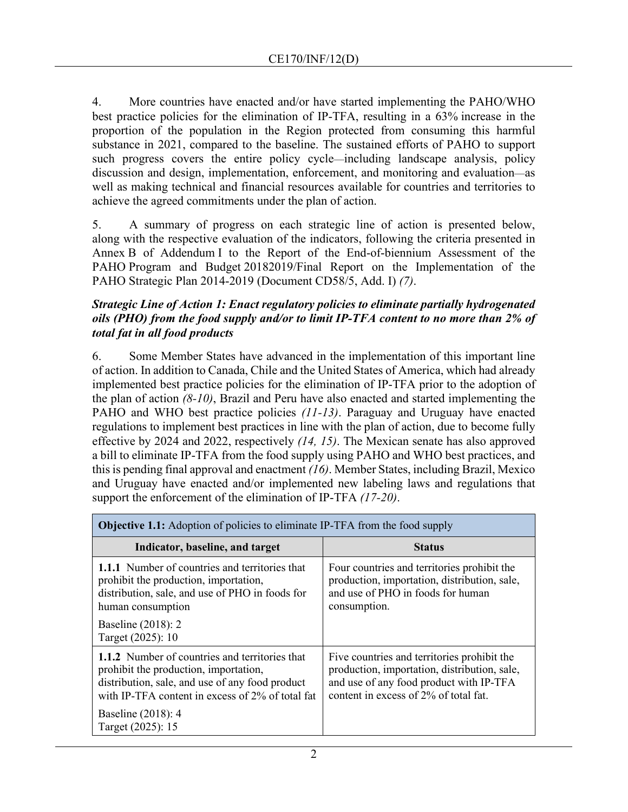4. More countries have enacted and/or have started implementing the PAHO/WHO best practice policies for the elimination of IP-TFA, resulting in a 63% increase in the proportion of the population in the Region protected from consuming this harmful substance in 2021, compared to the baseline. The sustained efforts of PAHO to support such progress covers the entire policy cycle—including landscape analysis, policy discussion and design, implementation, enforcement, and monitoring and evaluation—as well as making technical and financial resources available for countries and territories to achieve the agreed commitments under the plan of action.

5. A summary of progress on each strategic line of action is presented below, along with the respective evaluation of the indicators, following the criteria presented in Annex B of Addendum I to the Report of the End-of-biennium Assessment of the PAHO Program and Budget 20182019/Final Report on the Implementation of the PAHO Strategic Plan 2014-2019 (Document CD58/5, Add. I) *(7)*.

## *Strategic Line of Action 1: Enact regulatory policies to eliminate partially hydrogenated oils (PHO) from the food supply and/or to limit IP-TFA content to no more than 2% of total fat in all food products*

6. Some Member States have advanced in the implementation of this important line of action. In addition to Canada, Chile and the United States of America, which had already implemented best practice policies for the elimination of IP-TFA prior to the adoption of the plan of action *(8-10)*, Brazil and Peru have also enacted and started implementing the PAHO and WHO best practice policies *(11-13)*. Paraguay and Uruguay have enacted regulations to implement best practices in line with the plan of action, due to become fully effective by 2024 and 2022, respectively *(14, 15)*. The Mexican senate has also approved a bill to eliminate IP-TFA from the food supply using PAHO and WHO best practices, and this is pending final approval and enactment *(16)*. Member States, including Brazil, Mexico and Uruguay have enacted and/or implemented new labeling laws and regulations that support the enforcement of the elimination of IP-TFA *(17-20)*.

| <b>Objective 1.1:</b> Adoption of policies to eliminate IP-TFA from the food supply                                                                                                                   |                                                                                                                                                                                 |  |
|-------------------------------------------------------------------------------------------------------------------------------------------------------------------------------------------------------|---------------------------------------------------------------------------------------------------------------------------------------------------------------------------------|--|
| Indicator, baseline, and target                                                                                                                                                                       | <b>Status</b>                                                                                                                                                                   |  |
| <b>1.1.1</b> Number of countries and territories that<br>prohibit the production, importation,<br>distribution, sale, and use of PHO in foods for<br>human consumption                                | Four countries and territories prohibit the<br>production, importation, distribution, sale,<br>and use of PHO in foods for human<br>consumption.                                |  |
| Baseline (2018): 2<br>Target (2025): 10                                                                                                                                                               |                                                                                                                                                                                 |  |
| <b>1.1.2</b> Number of countries and territories that<br>prohibit the production, importation,<br>distribution, sale, and use of any food product<br>with IP-TFA content in excess of 2% of total fat | Five countries and territories prohibit the<br>production, importation, distribution, sale,<br>and use of any food product with IP-TFA<br>content in excess of 2% of total fat. |  |
| Baseline (2018): 4<br>Target (2025): 15                                                                                                                                                               |                                                                                                                                                                                 |  |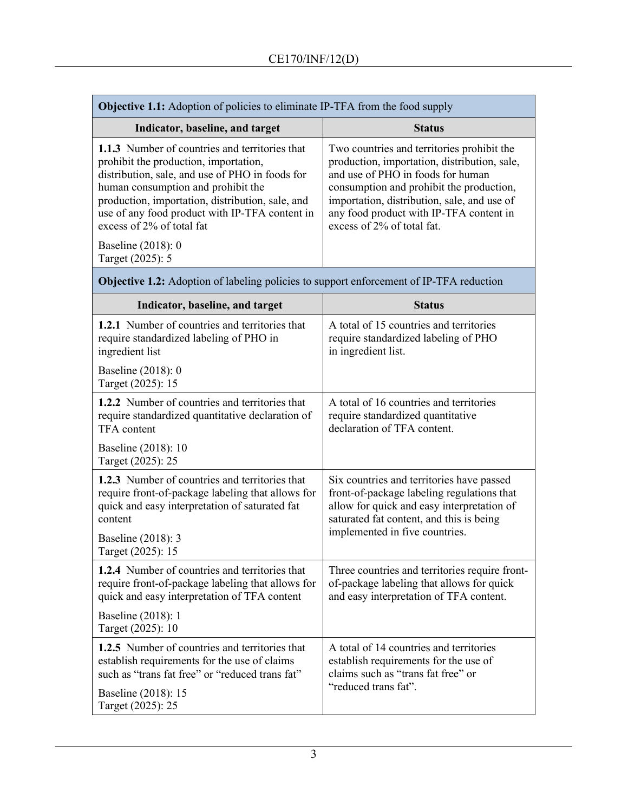| <b>Objective 1.1:</b> Adoption of policies to eliminate IP-TFA from the food supply                                                                                                                                                                                                                                                              |                                                                                                                                                                                                                                                                                                     |  |
|--------------------------------------------------------------------------------------------------------------------------------------------------------------------------------------------------------------------------------------------------------------------------------------------------------------------------------------------------|-----------------------------------------------------------------------------------------------------------------------------------------------------------------------------------------------------------------------------------------------------------------------------------------------------|--|
| Indicator, baseline, and target                                                                                                                                                                                                                                                                                                                  | <b>Status</b>                                                                                                                                                                                                                                                                                       |  |
| <b>1.1.3</b> Number of countries and territories that<br>prohibit the production, importation,<br>distribution, sale, and use of PHO in foods for<br>human consumption and prohibit the<br>production, importation, distribution, sale, and<br>use of any food product with IP-TFA content in<br>excess of 2% of total fat<br>Baseline (2018): 0 | Two countries and territories prohibit the<br>production, importation, distribution, sale,<br>and use of PHO in foods for human<br>consumption and prohibit the production,<br>importation, distribution, sale, and use of<br>any food product with IP-TFA content in<br>excess of 2% of total fat. |  |
| Target (2025): 5                                                                                                                                                                                                                                                                                                                                 |                                                                                                                                                                                                                                                                                                     |  |

| Indicator, baseline, and target                                                                                                                                                                             | <b>Status</b>                                                                                                                                                                                                       |
|-------------------------------------------------------------------------------------------------------------------------------------------------------------------------------------------------------------|---------------------------------------------------------------------------------------------------------------------------------------------------------------------------------------------------------------------|
| <b>1.2.1</b> Number of countries and territories that<br>require standardized labeling of PHO in<br>ingredient list                                                                                         | A total of 15 countries and territories<br>require standardized labeling of PHO<br>in ingredient list.                                                                                                              |
| Baseline (2018): 0<br>Target (2025): 15                                                                                                                                                                     |                                                                                                                                                                                                                     |
| 1.2.2 Number of countries and territories that<br>require standardized quantitative declaration of<br><b>TFA</b> content                                                                                    | A total of 16 countries and territories<br>require standardized quantitative<br>declaration of TFA content.                                                                                                         |
| Baseline (2018): 10<br>Target (2025): 25                                                                                                                                                                    |                                                                                                                                                                                                                     |
| 1.2.3 Number of countries and territories that<br>require front-of-package labeling that allows for<br>quick and easy interpretation of saturated fat<br>content<br>Baseline (2018): 3<br>Target (2025): 15 | Six countries and territories have passed<br>front-of-package labeling regulations that<br>allow for quick and easy interpretation of<br>saturated fat content, and this is being<br>implemented in five countries. |
| 1.2.4 Number of countries and territories that<br>require front-of-package labeling that allows for<br>quick and easy interpretation of TFA content                                                         | Three countries and territories require front-<br>of-package labeling that allows for quick<br>and easy interpretation of TFA content.                                                                              |
| Baseline (2018): 1<br>Target (2025): 10                                                                                                                                                                     |                                                                                                                                                                                                                     |
| 1.2.5 Number of countries and territories that<br>establish requirements for the use of claims<br>such as "trans fat free" or "reduced trans fat"                                                           | A total of 14 countries and territories<br>establish requirements for the use of<br>claims such as "trans fat free" or<br>"reduced trans fat".                                                                      |
| Baseline (2018): 15<br>Target (2025): 25                                                                                                                                                                    |                                                                                                                                                                                                                     |

**Objective 1.2:** Adoption of labeling policies to support enforcement of IP-TFA reduction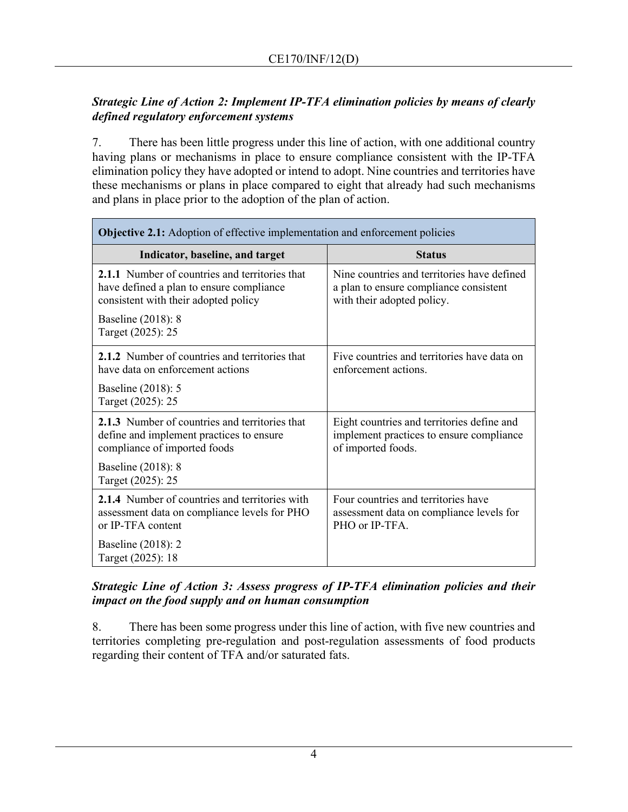# *Strategic Line of Action 2: Implement IP-TFA elimination policies by means of clearly defined regulatory enforcement systems*

7. There has been little progress under this line of action, with one additional country having plans or mechanisms in place to ensure compliance consistent with the IP-TFA elimination policy they have adopted or intend to adopt. Nine countries and territories have these mechanisms or plans in place compared to eight that already had such mechanisms and plans in place prior to the adoption of the plan of action.

| <b>Objective 2.1:</b> Adoption of effective implementation and enforcement policies                                                |                                                                                                                     |  |
|------------------------------------------------------------------------------------------------------------------------------------|---------------------------------------------------------------------------------------------------------------------|--|
| Indicator, baseline, and target                                                                                                    | <b>Status</b>                                                                                                       |  |
| 2.1.1 Number of countries and territories that<br>have defined a plan to ensure compliance<br>consistent with their adopted policy | Nine countries and territories have defined<br>a plan to ensure compliance consistent<br>with their adopted policy. |  |
| Baseline (2018): 8<br>Target (2025): 25                                                                                            |                                                                                                                     |  |
| 2.1.2 Number of countries and territories that<br>have data on enforcement actions                                                 | Five countries and territories have data on<br>enforcement actions.                                                 |  |
| Baseline (2018): 5<br>Target (2025): 25                                                                                            |                                                                                                                     |  |
| 2.1.3 Number of countries and territories that<br>define and implement practices to ensure<br>compliance of imported foods         | Eight countries and territories define and<br>implement practices to ensure compliance<br>of imported foods.        |  |
| Baseline (2018): 8<br>Target (2025): 25                                                                                            |                                                                                                                     |  |
| 2.1.4 Number of countries and territories with<br>assessment data on compliance levels for PHO<br>or IP-TFA content                | Four countries and territories have<br>assessment data on compliance levels for<br>PHO or IP-TFA.                   |  |
| Baseline (2018): 2<br>Target (2025): 18                                                                                            |                                                                                                                     |  |

## *Strategic Line of Action 3: Assess progress of IP-TFA elimination policies and their impact on the food supply and on human consumption*

8. There has been some progress under this line of action, with five new countries and territories completing pre-regulation and post-regulation assessments of food products regarding their content of TFA and/or saturated fats.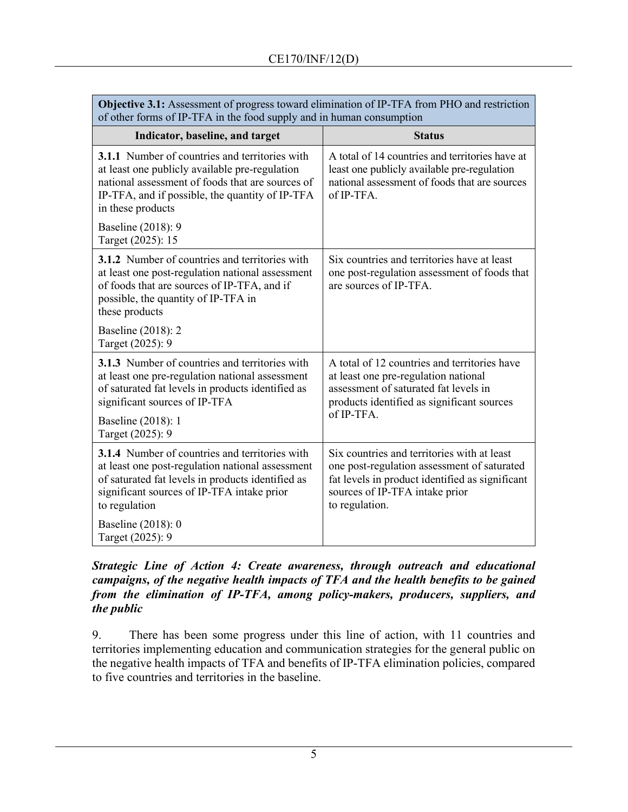| Objective 9.1. Assessment of progress toward chimianon of it -1171 hom F110 and restriction<br>of other forms of IP-TFA in the food supply and in human consumption                                                                 |                                                                                                                                                                                                   |  |
|-------------------------------------------------------------------------------------------------------------------------------------------------------------------------------------------------------------------------------------|---------------------------------------------------------------------------------------------------------------------------------------------------------------------------------------------------|--|
| Indicator, baseline, and target                                                                                                                                                                                                     | <b>Status</b>                                                                                                                                                                                     |  |
| <b>3.1.1</b> Number of countries and territories with<br>at least one publicly available pre-regulation<br>national assessment of foods that are sources of<br>IP-TFA, and if possible, the quantity of IP-TFA<br>in these products | A total of 14 countries and territories have at<br>least one publicly available pre-regulation<br>national assessment of foods that are sources<br>of IP-TFA.                                     |  |
| Baseline (2018): 9<br>Target (2025): 15                                                                                                                                                                                             |                                                                                                                                                                                                   |  |
| <b>3.1.2</b> Number of countries and territories with<br>at least one post-regulation national assessment<br>of foods that are sources of IP-TFA, and if<br>possible, the quantity of IP-TFA in<br>these products                   | Six countries and territories have at least<br>one post-regulation assessment of foods that<br>are sources of IP-TFA.                                                                             |  |
| Baseline (2018): 2<br>Target (2025): 9                                                                                                                                                                                              |                                                                                                                                                                                                   |  |
| <b>3.1.3</b> Number of countries and territories with<br>at least one pre-regulation national assessment<br>of saturated fat levels in products identified as<br>significant sources of IP-TFA                                      | A total of 12 countries and territories have<br>at least one pre-regulation national<br>assessment of saturated fat levels in<br>products identified as significant sources                       |  |
| Baseline (2018): 1<br>Target (2025): 9                                                                                                                                                                                              | of IP-TFA.                                                                                                                                                                                        |  |
| <b>3.1.4</b> Number of countries and territories with<br>at least one post-regulation national assessment<br>of saturated fat levels in products identified as<br>significant sources of IP-TFA intake prior<br>to regulation       | Six countries and territories with at least<br>one post-regulation assessment of saturated<br>fat levels in product identified as significant<br>sources of IP-TFA intake prior<br>to regulation. |  |
| Baseline (2018): 0<br>Target (2025): 9                                                                                                                                                                                              |                                                                                                                                                                                                   |  |

**Objective 3.1:** Assessment of progress toward elimination of IP-TFA from PHO and restriction

## *Strategic Line of Action 4: Create awareness, through outreach and educational campaigns, of the negative health impacts of TFA and the health benefits to be gained from the elimination of IP-TFA, among policy-makers, producers, suppliers, and the public*

9. There has been some progress under this line of action, with 11 countries and territories implementing education and communication strategies for the general public on the negative health impacts of TFA and benefits of IP-TFA elimination policies, compared to five countries and territories in the baseline.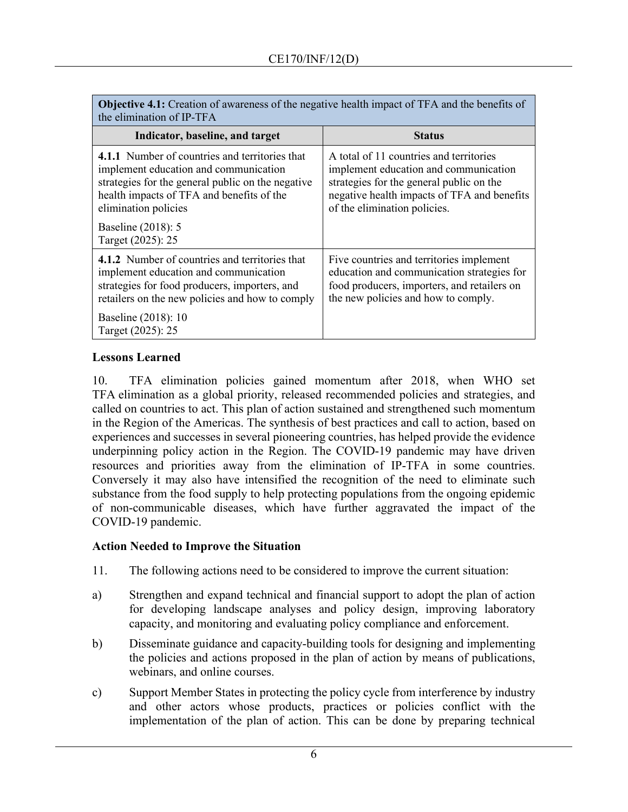| <b>Objective 4.1:</b> Creation of awareness of the negative health impact of TFA and the benefits of<br>the elimination of IP-TFA                                                                                 |                                                                                                                                                                                                             |  |
|-------------------------------------------------------------------------------------------------------------------------------------------------------------------------------------------------------------------|-------------------------------------------------------------------------------------------------------------------------------------------------------------------------------------------------------------|--|
| Indicator, baseline, and target                                                                                                                                                                                   | <b>Status</b>                                                                                                                                                                                               |  |
| 4.1.1 Number of countries and territories that<br>implement education and communication<br>strategies for the general public on the negative<br>health impacts of TFA and benefits of the<br>elimination policies | A total of 11 countries and territories<br>implement education and communication<br>strategies for the general public on the<br>negative health impacts of TFA and benefits<br>of the elimination policies. |  |
| Baseline (2018): 5<br>Target (2025): 25                                                                                                                                                                           |                                                                                                                                                                                                             |  |
| <b>4.1.2</b> Number of countries and territories that<br>implement education and communication<br>strategies for food producers, importers, and<br>retailers on the new policies and how to comply                | Five countries and territories implement<br>education and communication strategies for<br>food producers, importers, and retailers on<br>the new policies and how to comply.                                |  |
| Baseline (2018): 10<br>Target (2025): 25                                                                                                                                                                          |                                                                                                                                                                                                             |  |

## **Lessons Learned**

10. TFA elimination policies gained momentum after 2018, when WHO set TFA elimination as a global priority, released recommended policies and strategies, and called on countries to act. This plan of action sustained and strengthened such momentum in the Region of the Americas. The synthesis of best practices and call to action, based on experiences and successes in several pioneering countries, has helped provide the evidence underpinning policy action in the Region. The COVID-19 pandemic may have driven resources and priorities away from the elimination of IP-TFA in some countries. Conversely it may also have intensified the recognition of the need to eliminate such substance from the food supply to help protecting populations from the ongoing epidemic of non-communicable diseases, which have further aggravated the impact of the COVID-19 pandemic.

#### **Action Needed to Improve the Situation**

- 11. The following actions need to be considered to improve the current situation:
- a) Strengthen and expand technical and financial support to adopt the plan of action for developing landscape analyses and policy design, improving laboratory capacity, and monitoring and evaluating policy compliance and enforcement.
- b) Disseminate guidance and capacity-building tools for designing and implementing the policies and actions proposed in the plan of action by means of publications, webinars, and online courses.
- c) Support Member States in protecting the policy cycle from interference by industry and other actors whose products, practices or policies conflict with the implementation of the plan of action. This can be done by preparing technical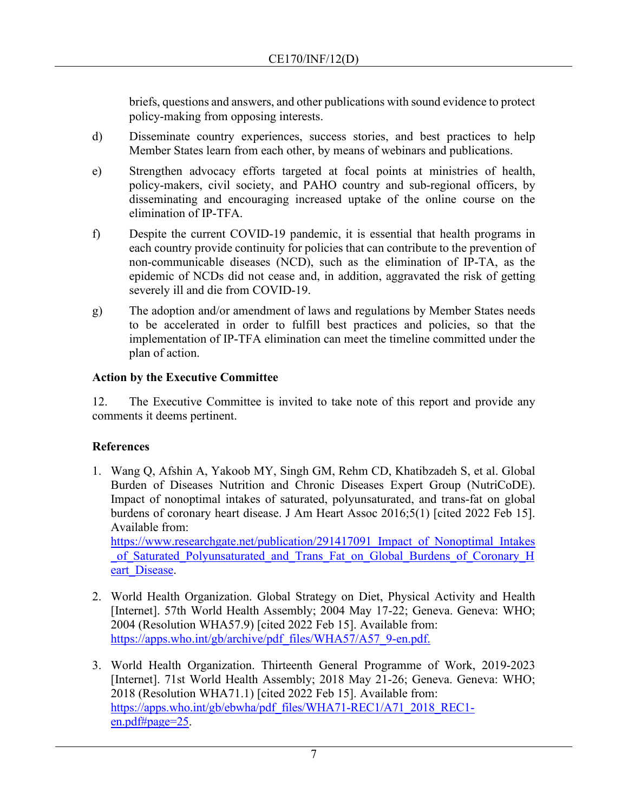briefs, questions and answers, and other publications with sound evidence to protect policy-making from opposing interests.

- d) Disseminate country experiences, success stories, and best practices to help Member States learn from each other, by means of webinars and publications.
- e) Strengthen advocacy efforts targeted at focal points at ministries of health, policy-makers, civil society, and PAHO country and sub-regional officers, by disseminating and encouraging increased uptake of the online course on the elimination of IP-TFA.
- f) Despite the current COVID-19 pandemic, it is essential that health programs in each country provide continuity for policies that can contribute to the prevention of non-communicable diseases (NCD), such as the elimination of IP-TA, as the epidemic of NCDs did not cease and, in addition, aggravated the risk of getting severely ill and die from COVID-19.
- g) The adoption and/or amendment of laws and regulations by Member States needs to be accelerated in order to fulfill best practices and policies, so that the implementation of IP-TFA elimination can meet the timeline committed under the plan of action.

## **Action by the Executive Committee**

12. The Executive Committee is invited to take note of this report and provide any comments it deems pertinent.

# **References**

1. Wang Q, Afshin A, Yakoob MY, Singh GM, Rehm CD, Khatibzadeh S, et al. Global Burden of Diseases Nutrition and Chronic Diseases Expert Group (NutriCoDE). Impact of nonoptimal intakes of saturated, polyunsaturated, and trans-fat on global burdens of coronary heart disease. J Am Heart Assoc 2016;5(1) [cited 2022 Feb 15]. Available from:

https://www.researchgate.net/publication/291417091 Impact of Nonoptimal Intakes of Saturated Polyunsaturated and Trans Fat on Global Burdens of Coronary H eart Disease.

- 2. World Health Organization. Global Strategy on Diet, Physical Activity and Health [Internet]. 57th World Health Assembly; 2004 May 17-22; Geneva. Geneva: WHO; 2004 (Resolution WHA57.9) [cited 2022 Feb 15]. Available from: [https://apps.who.int/gb/archive/pdf\\_files/WHA57/A57\\_9-en.pdf.](https://apps.who.int/gb/archive/pdf_files/WHA57/A57_9-en.pdf)
- 3. World Health Organization. Thirteenth General Programme of Work, 2019-2023 [Internet]. 71st World Health Assembly; 2018 May 21-26; Geneva. Geneva: WHO; 2018 (Resolution WHA71.1) [cited 2022 Feb 15]. Available from: [https://apps.who.int/gb/ebwha/pdf\\_files/WHA71-REC1/A71\\_2018\\_REC1](https://apps.who.int/gb/ebwha/pdf_files/WHA71-REC1/A71_2018_REC1-en.pdf#page=25) [en.pdf#page=25.](https://apps.who.int/gb/ebwha/pdf_files/WHA71-REC1/A71_2018_REC1-en.pdf#page=25)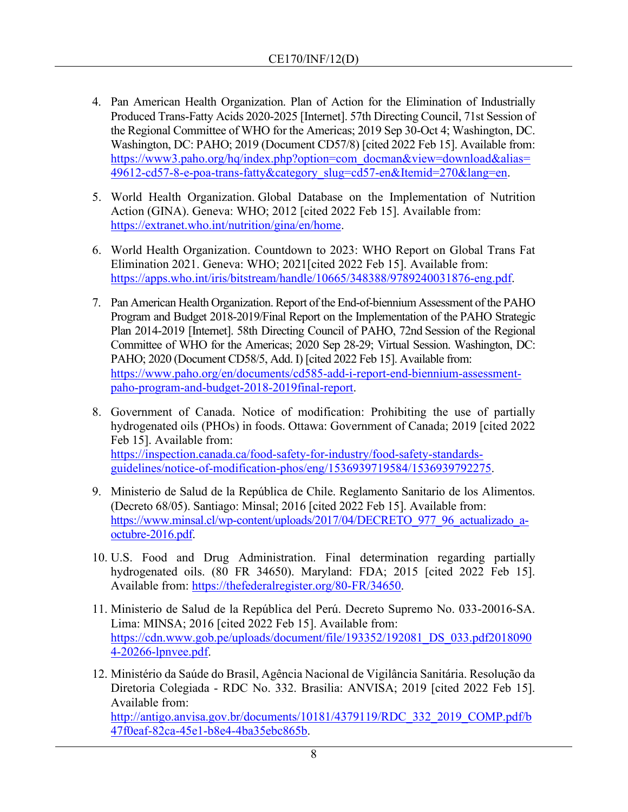- 4. Pan American Health Organization. Plan of Action for the Elimination of Industrially Produced Trans-Fatty Acids 2020-2025 [Internet]. 57th Directing Council, 71st Session of the Regional Committee of WHO for the Americas; 2019 Sep 30-Oct 4; Washington, DC. Washington, DC: PAHO; 2019 (Document CD57/8) [cited 2022 Feb 15]. Available from: [https://www3.paho.org/hq/index.php?option=com\\_docman&view=download&alias=](https://www3.paho.org/hq/index.php?option=com_docman&view=download&alias=49612-cd57-8-e-poa-trans-fatty&category_slug=cd57-en&Itemid=270&lang=en) [49612-cd57-8-e-poa-trans-fatty&category\\_slug=cd57-en&Itemid=270&lang=en.](https://www3.paho.org/hq/index.php?option=com_docman&view=download&alias=49612-cd57-8-e-poa-trans-fatty&category_slug=cd57-en&Itemid=270&lang=en)
- 5. World Health Organization. Global Database on the Implementation of Nutrition Action (GINA). Geneva: WHO; 2012 [cited 2022 Feb 15]. Available from: [https://extranet.who.int/nutrition/gina/en/home.](https://extranet.who.int/nutrition/gina/en/home)
- 6. World Health Organization. Countdown to 2023: WHO Report on Global Trans Fat Elimination 2021. Geneva: WHO; 2021[cited 2022 Feb 15]. Available from: [https://apps.who.int/iris/bitstream/handle/10665/348388/9789240031876-eng.pdf.](https://apps.who.int/iris/bitstream/handle/10665/348388/9789240031876-eng.pdf)
- 7. Pan American Health Organization. Report of the End-of-biennium Assessment of the PAHO Program and Budget 2018-2019/Final Report on the Implementation of the PAHO Strategic Plan 2014-2019 [Internet]. 58th Directing Council of PAHO, 72nd Session of the Regional Committee of WHO for the Americas; 2020 Sep 28-29; Virtual Session. Washington, DC: PAHO; 2020 (Document CD58/5, Add. I) [cited 2022 Feb 15]. Available from: [https://www.paho.org/en/documents/cd585-add-i-report-end-biennium-assessment](https://www.paho.org/en/documents/cd585-add-i-report-end-biennium-assessment-paho-program-and-budget-2018-2019final-report)[paho-program-and-budget-2018-2019final-report.](https://www.paho.org/en/documents/cd585-add-i-report-end-biennium-assessment-paho-program-and-budget-2018-2019final-report)
- 8. Government of Canada. Notice of modification: Prohibiting the use of partially hydrogenated oils (PHOs) in foods. Ottawa: Government of Canada; 2019 [cited 2022 Feb 15]. Available from: [https://inspection.canada.ca/food-safety-for-industry/food-safety-standards](https://inspection.canada.ca/food-safety-for-industry/food-safety-standards-guidelines/notice-of-modification-phos/eng/1536939719584/1536939792275)[guidelines/notice-of-modification-phos/eng/1536939719584/1536939792275.](https://inspection.canada.ca/food-safety-for-industry/food-safety-standards-guidelines/notice-of-modification-phos/eng/1536939719584/1536939792275)
- 9. Ministerio de Salud de la República de Chile. Reglamento Sanitario de los Alimentos. (Decreto 68/05). Santiago: Minsal; 2016 [cited 2022 Feb 15]. Available from: https://www.minsal.cl/wp-content/uploads/2017/04/DECRETO 977 96 actualizado a[octubre-2016.pdf.](https://www.minsal.cl/wp-content/uploads/2017/04/DECRETO_977_96_actualizado_a-octubre-2016.pdf)
- 10. U.S. Food and Drug Administration. Final determination regarding partially hydrogenated oils. (80 FR 34650). Maryland: FDA; 2015 [cited 2022 Feb 15]. Available from: [https://thefederalregister.org/80-FR/34650.](https://thefederalregister.org/80-FR/34650)
- 11. Ministerio de Salud de la República del Perú. Decreto Supremo No. 033-20016-SA. Lima: MINSA; 2016 [cited 2022 Feb 15]. Available from: [https://cdn.www.gob.pe/uploads/document/file/193352/192081\\_DS\\_033.pdf2018090](https://cdn.www.gob.pe/uploads/document/file/193352/192081_DS_033.pdf20180904-20266-lpnvee.pdf) [4-20266-lpnvee.pdf.](https://cdn.www.gob.pe/uploads/document/file/193352/192081_DS_033.pdf20180904-20266-lpnvee.pdf)
- 12. Ministério da Saúde do Brasil, Agência Nacional de Vigilância Sanitária. Resolução da Diretoria Colegiada - RDC No. 332. Brasilia: ANVISA; 2019 [cited 2022 Feb 15]. Available from: [http://antigo.anvisa.gov.br/documents/10181/4379119/RDC\\_332\\_2019\\_COMP.pdf/b](http://antigo.anvisa.gov.br/documents/10181/4379119/RDC_332_2019_COMP.pdf/b47f0eaf-82ca-45e1-b8e4-4ba35ebc865b) [47f0eaf-82ca-45e1-b8e4-4ba35ebc865b.](http://antigo.anvisa.gov.br/documents/10181/4379119/RDC_332_2019_COMP.pdf/b47f0eaf-82ca-45e1-b8e4-4ba35ebc865b)